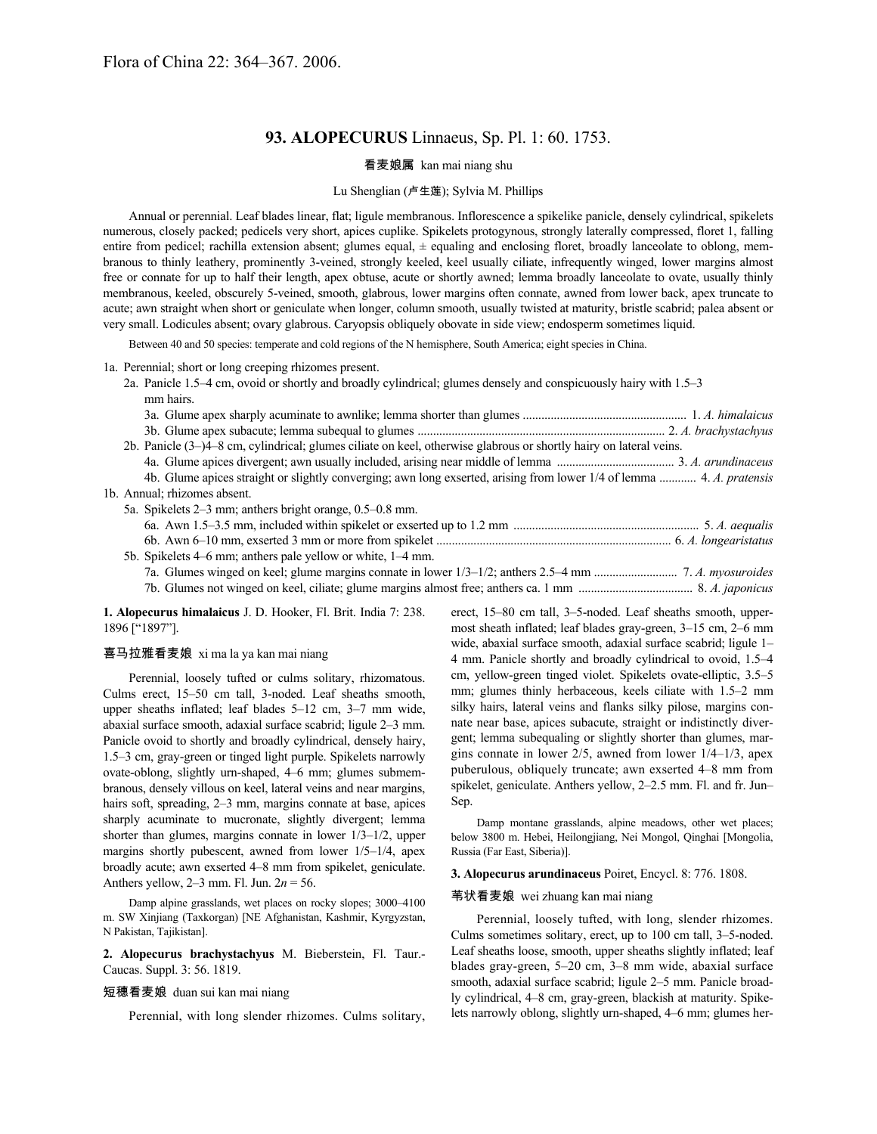# **93. ALOPECURUS** Linnaeus, Sp. Pl. 1: 60. 1753.

# 看麦娘属 kan mai niang shu

## Lu Shenglian (卢生莲); Sylvia M. Phillips

Annual or perennial. Leaf blades linear, flat; ligule membranous. Inflorescence a spikelike panicle, densely cylindrical, spikelets numerous, closely packed; pedicels very short, apices cuplike. Spikelets protogynous, strongly laterally compressed, floret 1, falling entire from pedicel; rachilla extension absent; glumes equal,  $\pm$  equaling and enclosing floret, broadly lanceolate to oblong, membranous to thinly leathery, prominently 3-veined, strongly keeled, keel usually ciliate, infrequently winged, lower margins almost free or connate for up to half their length, apex obtuse, acute or shortly awned; lemma broadly lanceolate to ovate, usually thinly membranous, keeled, obscurely 5-veined, smooth, glabrous, lower margins often connate, awned from lower back, apex truncate to acute; awn straight when short or geniculate when longer, column smooth, usually twisted at maturity, bristle scabrid; palea absent or very small. Lodicules absent; ovary glabrous. Caryopsis obliquely obovate in side view; endosperm sometimes liquid.

Between 40 and 50 species: temperate and cold regions of the N hemisphere, South America; eight species in China.

1a. Perennial; short or long creeping rhizomes present.

2a. Panicle 1.5–4 cm, ovoid or shortly and broadly cylindrical; glumes densely and conspicuously hairy with 1.5–3 mm hairs.

| 2b. Panicle (3–)4–8 cm, cylindrical; glumes ciliate on keel, otherwise glabrous or shortly hairy on lateral veins.   |  |
|----------------------------------------------------------------------------------------------------------------------|--|
|                                                                                                                      |  |
| 4. Glume apices straight or slightly converging; awn long exserted, arising from lower 1/4 of lemma  4. A. pratensis |  |
| 1b. Annual; rhizomes absent.                                                                                         |  |
| 5a. Spikelets 2–3 mm; anthers bright orange, 0.5–0.8 mm.                                                             |  |
|                                                                                                                      |  |
|                                                                                                                      |  |
| 5b. Spikelets 4–6 mm; anthers pale yellow or white, 1–4 mm.                                                          |  |
|                                                                                                                      |  |
|                                                                                                                      |  |

**1. Alopecurus himalaicus** J. D. Hooker, Fl. Brit. India 7: 238. 1896 ["1897"].

# 喜马拉雅看麦娘 xi ma la ya kan mai niang

Perennial, loosely tufted or culms solitary, rhizomatous. Culms erect, 15–50 cm tall, 3-noded. Leaf sheaths smooth, upper sheaths inflated; leaf blades 5–12 cm, 3–7 mm wide, abaxial surface smooth, adaxial surface scabrid; ligule 2–3 mm. Panicle ovoid to shortly and broadly cylindrical, densely hairy, 1.5–3 cm, gray-green or tinged light purple. Spikelets narrowly ovate-oblong, slightly urn-shaped, 4–6 mm; glumes submembranous, densely villous on keel, lateral veins and near margins, hairs soft, spreading, 2–3 mm, margins connate at base, apices sharply acuminate to mucronate, slightly divergent; lemma shorter than glumes, margins connate in lower 1/3–1/2, upper margins shortly pubescent, awned from lower 1/5–1/4, apex broadly acute; awn exserted 4–8 mm from spikelet, geniculate. Anthers yellow, 2–3 mm. Fl. Jun. 2*n* = 56.

Damp alpine grasslands, wet places on rocky slopes; 3000–4100 m. SW Xinjiang (Taxkorgan) [NE Afghanistan, Kashmir, Kyrgyzstan, N Pakistan, Tajikistan].

**2. Alopecurus brachystachyus** M. Bieberstein, Fl. Taur.- Caucas. Suppl. 3: 56. 1819.

#### 短穗看麦娘 duan sui kan mai niang

Perennial, with long slender rhizomes. Culms solitary,

erect, 15–80 cm tall, 3–5-noded. Leaf sheaths smooth, uppermost sheath inflated; leaf blades gray-green, 3–15 cm, 2–6 mm wide, abaxial surface smooth, adaxial surface scabrid; ligule 1– 4 mm. Panicle shortly and broadly cylindrical to ovoid, 1.5–4 cm, yellow-green tinged violet. Spikelets ovate-elliptic, 3.5–5 mm; glumes thinly herbaceous, keels ciliate with 1.5–2 mm silky hairs, lateral veins and flanks silky pilose, margins connate near base, apices subacute, straight or indistinctly divergent; lemma subequaling or slightly shorter than glumes, margins connate in lower 2/5, awned from lower 1/4–1/3, apex puberulous, obliquely truncate; awn exserted 4–8 mm from spikelet, geniculate. Anthers yellow, 2–2.5 mm. Fl. and fr. Jun– Sep.

Damp montane grasslands, alpine meadows, other wet places; below 3800 m. Hebei, Heilongjiang, Nei Mongol, Qinghai [Mongolia, Russia (Far East, Siberia)].

#### **3. Alopecurus arundinaceus** Poiret, Encycl. 8: 776. 1808.

#### 苇状看麦娘 wei zhuang kan mai niang

Perennial, loosely tufted, with long, slender rhizomes. Culms sometimes solitary, erect, up to 100 cm tall, 3–5-noded. Leaf sheaths loose, smooth, upper sheaths slightly inflated; leaf blades gray-green, 5–20 cm, 3–8 mm wide, abaxial surface smooth, adaxial surface scabrid; ligule 2–5 mm. Panicle broadly cylindrical, 4–8 cm, gray-green, blackish at maturity. Spikelets narrowly oblong, slightly urn-shaped, 4–6 mm; glumes her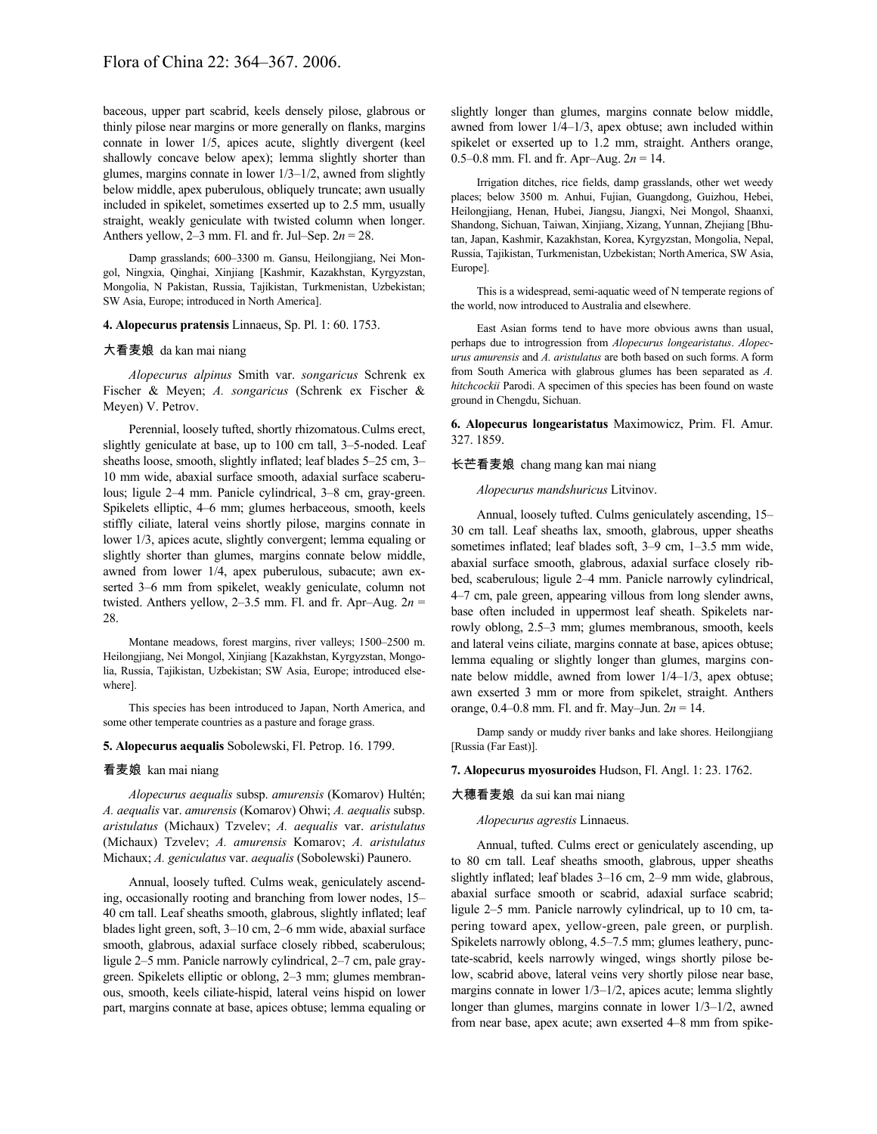baceous, upper part scabrid, keels densely pilose, glabrous or thinly pilose near margins or more generally on flanks, margins connate in lower 1/5, apices acute, slightly divergent (keel shallowly concave below apex); lemma slightly shorter than glumes, margins connate in lower 1/3–1/2, awned from slightly below middle, apex puberulous, obliquely truncate; awn usually included in spikelet, sometimes exserted up to 2.5 mm, usually straight, weakly geniculate with twisted column when longer. Anthers yellow, 2–3 mm. Fl. and fr. Jul–Sep. 2*n* = 28.

Damp grasslands; 600–3300 m. Gansu, Heilongjiang, Nei Mongol, Ningxia, Qinghai, Xinjiang [Kashmir, Kazakhstan, Kyrgyzstan, Mongolia, N Pakistan, Russia, Tajikistan, Turkmenistan, Uzbekistan; SW Asia, Europe; introduced in North America].

#### **4. Alopecurus pratensis** Linnaeus, Sp. Pl. 1: 60. 1753.

#### 大看麦娘 da kan mai niang

*Alopecurus alpinus* Smith var. *songaricus* Schrenk ex Fischer & Meyen; *A. songaricus* (Schrenk ex Fischer & Meyen) V. Petrov.

Perennial, loosely tufted, shortly rhizomatous.Culms erect, slightly geniculate at base, up to 100 cm tall, 3–5-noded. Leaf sheaths loose, smooth, slightly inflated; leaf blades 5–25 cm, 3– 10 mm wide, abaxial surface smooth, adaxial surface scaberulous; ligule 2–4 mm. Panicle cylindrical, 3–8 cm, gray-green. Spikelets elliptic, 4–6 mm; glumes herbaceous, smooth, keels stiffly ciliate, lateral veins shortly pilose, margins connate in lower 1/3, apices acute, slightly convergent; lemma equaling or slightly shorter than glumes, margins connate below middle, awned from lower 1/4, apex puberulous, subacute; awn exserted 3–6 mm from spikelet, weakly geniculate, column not twisted. Anthers yellow,  $2-3.5$  mm. Fl. and fr. Apr-Aug.  $2n =$ 28.

Montane meadows, forest margins, river valleys; 1500–2500 m. Heilongjiang, Nei Mongol, Xinjiang [Kazakhstan, Kyrgyzstan, Mongolia, Russia, Tajikistan, Uzbekistan; SW Asia, Europe; introduced elsewhere].

This species has been introduced to Japan, North America, and some other temperate countries as a pasture and forage grass.

## **5. Alopecurus aequalis** Sobolewski, Fl. Petrop. 16. 1799.

## 看麦娘 kan mai niang

*Alopecurus aequalis* subsp. *amurensis* (Komarov) Hultén; *A. aequalis* var. *amurensis* (Komarov) Ohwi; *A. aequalis* subsp. *aristulatus* (Michaux) Tzvelev; *A. aequalis* var. *aristulatus* (Michaux) Tzvelev; *A. amurensis* Komarov; *A. aristulatus* Michaux; *A. geniculatus* var. *aequalis* (Sobolewski) Paunero.

Annual, loosely tufted. Culms weak, geniculately ascending, occasionally rooting and branching from lower nodes, 15– 40 cm tall. Leaf sheaths smooth, glabrous, slightly inflated; leaf blades light green, soft, 3–10 cm, 2–6 mm wide, abaxial surface smooth, glabrous, adaxial surface closely ribbed, scaberulous; ligule 2–5 mm. Panicle narrowly cylindrical, 2–7 cm, pale graygreen. Spikelets elliptic or oblong, 2–3 mm; glumes membranous, smooth, keels ciliate-hispid, lateral veins hispid on lower part, margins connate at base, apices obtuse; lemma equaling or

slightly longer than glumes, margins connate below middle, awned from lower 1/4–1/3, apex obtuse; awn included within spikelet or exserted up to 1.2 mm, straight. Anthers orange, 0.5–0.8 mm. Fl. and fr. Apr–Aug. 2*n* = 14.

Irrigation ditches, rice fields, damp grasslands, other wet weedy places; below 3500 m. Anhui, Fujian, Guangdong, Guizhou, Hebei, Heilongjiang, Henan, Hubei, Jiangsu, Jiangxi, Nei Mongol, Shaanxi, Shandong, Sichuan, Taiwan, Xinjiang, Xizang, Yunnan, Zhejiang [Bhutan, Japan, Kashmir, Kazakhstan, Korea, Kyrgyzstan, Mongolia, Nepal, Russia, Tajikistan, Turkmenistan, Uzbekistan; NorthAmerica, SW Asia, Europe].

This is a widespread, semi-aquatic weed of N temperate regions of the world, now introduced to Australia and elsewhere.

East Asian forms tend to have more obvious awns than usual, perhaps due to introgression from *Alopecurus longearistatus*. *Alopecurus amurensis* and *A. aristulatus* are both based on such forms. A form from South America with glabrous glumes has been separated as *A. hitchcockii* Parodi. A specimen of this species has been found on waste ground in Chengdu, Sichuan.

**6. Alopecurus longearistatus** Maximowicz, Prim. Fl. Amur. 327. 1859.

#### 长芒看麦娘 chang mang kan mai niang

*Alopecurus mandshuricus* Litvinov.

Annual, loosely tufted. Culms geniculately ascending, 15– 30 cm tall. Leaf sheaths lax, smooth, glabrous, upper sheaths sometimes inflated; leaf blades soft, 3–9 cm, 1–3.5 mm wide, abaxial surface smooth, glabrous, adaxial surface closely ribbed, scaberulous; ligule 2–4 mm. Panicle narrowly cylindrical, 4–7 cm, pale green, appearing villous from long slender awns, base often included in uppermost leaf sheath. Spikelets narrowly oblong, 2.5–3 mm; glumes membranous, smooth, keels and lateral veins ciliate, margins connate at base, apices obtuse; lemma equaling or slightly longer than glumes, margins connate below middle, awned from lower 1/4–1/3, apex obtuse; awn exserted 3 mm or more from spikelet, straight. Anthers orange, 0.4–0.8 mm. Fl. and fr. May–Jun. 2*n* = 14.

Damp sandy or muddy river banks and lake shores. Heilongjiang [Russia (Far East)].

#### **7. Alopecurus myosuroides** Hudson, Fl. Angl. 1: 23. 1762.

#### 大穗看麦娘 da sui kan mai niang

*Alopecurus agrestis* Linnaeus.

Annual, tufted. Culms erect or geniculately ascending, up to 80 cm tall. Leaf sheaths smooth, glabrous, upper sheaths slightly inflated; leaf blades 3–16 cm, 2–9 mm wide, glabrous, abaxial surface smooth or scabrid, adaxial surface scabrid; ligule 2–5 mm. Panicle narrowly cylindrical, up to 10 cm, tapering toward apex, yellow-green, pale green, or purplish. Spikelets narrowly oblong, 4.5–7.5 mm; glumes leathery, punctate-scabrid, keels narrowly winged, wings shortly pilose below, scabrid above, lateral veins very shortly pilose near base, margins connate in lower 1/3–1/2, apices acute; lemma slightly longer than glumes, margins connate in lower 1/3–1/2, awned from near base, apex acute; awn exserted 4–8 mm from spike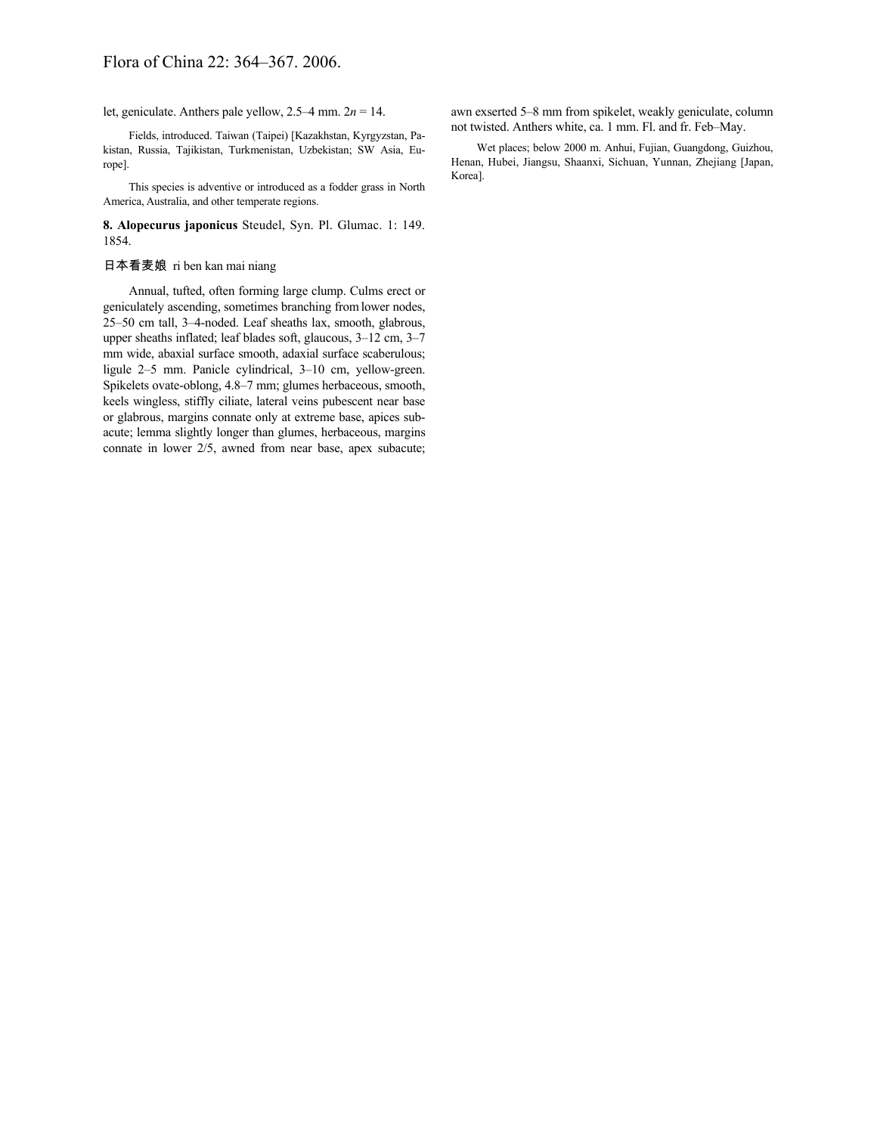let, geniculate. Anthers pale yellow, 2.5–4 mm. 2*n* = 14.

Fields, introduced. Taiwan (Taipei) [Kazakhstan, Kyrgyzstan, Pakistan, Russia, Tajikistan, Turkmenistan, Uzbekistan; SW Asia, Europe].

This species is adventive or introduced as a fodder grass in North America, Australia, and other temperate regions.

**8. Alopecurus japonicus** Steudel, Syn. Pl. Glumac. 1: 149. 1854.

# 日本看麦娘 ri ben kan mai niang

Annual, tufted, often forming large clump. Culms erect or geniculately ascending, sometimes branching fromlower nodes, 25–50 cm tall, 3–4-noded. Leaf sheaths lax, smooth, glabrous, upper sheaths inflated; leaf blades soft, glaucous, 3–12 cm, 3–7 mm wide, abaxial surface smooth, adaxial surface scaberulous; ligule 2–5 mm. Panicle cylindrical, 3–10 cm, yellow-green. Spikelets ovate-oblong, 4.8–7 mm; glumes herbaceous, smooth, keels wingless, stiffly ciliate, lateral veins pubescent near base or glabrous, margins connate only at extreme base, apices subacute; lemma slightly longer than glumes, herbaceous, margins connate in lower 2/5, awned from near base, apex subacute; awn exserted 5–8 mm from spikelet, weakly geniculate, column not twisted. Anthers white, ca. 1 mm. Fl. and fr. Feb–May.

Wet places; below 2000 m. Anhui, Fujian, Guangdong, Guizhou, Henan, Hubei, Jiangsu, Shaanxi, Sichuan, Yunnan, Zhejiang [Japan, Korea].